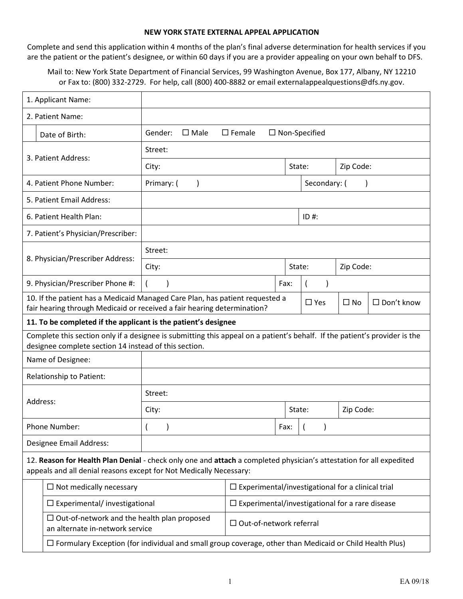#### **NEW YORK STATE EXTERNAL APPEAL APPLICATION**

Complete and send this application within 4 months of the plan's final adverse determination for health services if you are the patient or the patient's designee, or within 60 days if you are a provider appealing on your own behalf to DFS.

Mail to: New York State Department of Financial Services, 99 Washington Avenue, Box 177, Albany, NY 12210 or Fax to: (800) 332‐2729. For help, call (800) 400‐8882 or email externalappealquestions@dfs.ny.gov.

| 1. Applicant Name:                                                                                                                                                                        |                                                                                                                            |                                                                                                                                                         |                                                           |              |                |              |                   |
|-------------------------------------------------------------------------------------------------------------------------------------------------------------------------------------------|----------------------------------------------------------------------------------------------------------------------------|---------------------------------------------------------------------------------------------------------------------------------------------------------|-----------------------------------------------------------|--------------|----------------|--------------|-------------------|
| 2. Patient Name:                                                                                                                                                                          |                                                                                                                            |                                                                                                                                                         |                                                           |              |                |              |                   |
|                                                                                                                                                                                           | Date of Birth:                                                                                                             | Gender:<br>$\square$ Female<br>$\square$ Male<br>$\Box$ Non-Specified                                                                                   |                                                           |              |                |              |                   |
|                                                                                                                                                                                           |                                                                                                                            | Street:                                                                                                                                                 |                                                           |              |                |              |                   |
|                                                                                                                                                                                           | 3. Patient Address:                                                                                                        | City:<br>State:                                                                                                                                         |                                                           |              | Zip Code:      |              |                   |
|                                                                                                                                                                                           | 4. Patient Phone Number:                                                                                                   | Primary: (<br>$\lambda$                                                                                                                                 |                                                           | Secondary: ( |                |              |                   |
|                                                                                                                                                                                           | 5. Patient Email Address:                                                                                                  |                                                                                                                                                         |                                                           |              |                |              |                   |
|                                                                                                                                                                                           | 6. Patient Health Plan:                                                                                                    |                                                                                                                                                         |                                                           |              | $ID#$ :        |              |                   |
|                                                                                                                                                                                           | 7. Patient's Physician/Prescriber:                                                                                         |                                                                                                                                                         |                                                           |              |                |              |                   |
|                                                                                                                                                                                           |                                                                                                                            | Street:                                                                                                                                                 |                                                           |              |                |              |                   |
|                                                                                                                                                                                           | 8. Physician/Prescriber Address:                                                                                           | City:                                                                                                                                                   |                                                           | State:       |                | Zip Code:    |                   |
|                                                                                                                                                                                           | 9. Physician/Prescriber Phone #:                                                                                           |                                                                                                                                                         |                                                           | Fax:         | $\overline{ }$ |              |                   |
|                                                                                                                                                                                           |                                                                                                                            | 10. If the patient has a Medicaid Managed Care Plan, has patient requested a<br>fair hearing through Medicaid or received a fair hearing determination? |                                                           |              | $\square$ Yes  | $\square$ No | $\Box$ Don't know |
|                                                                                                                                                                                           | 11. To be completed if the applicant is the patient's designee                                                             |                                                                                                                                                         |                                                           |              |                |              |                   |
|                                                                                                                                                                                           | Complete this section only if a designee is submitting this appeal on a patient's behalf. If the patient's provider is the |                                                                                                                                                         |                                                           |              |                |              |                   |
|                                                                                                                                                                                           | designee complete section 14 instead of this section.<br>Name of Designee:                                                 |                                                                                                                                                         |                                                           |              |                |              |                   |
|                                                                                                                                                                                           | Relationship to Patient:                                                                                                   |                                                                                                                                                         |                                                           |              |                |              |                   |
|                                                                                                                                                                                           |                                                                                                                            | Street:                                                                                                                                                 |                                                           |              |                |              |                   |
| Address:                                                                                                                                                                                  |                                                                                                                            | City:                                                                                                                                                   |                                                           |              | State:         | Zip Code:    |                   |
|                                                                                                                                                                                           | Phone Number:                                                                                                              |                                                                                                                                                         |                                                           | Fax:         |                |              |                   |
|                                                                                                                                                                                           | Designee Email Address:                                                                                                    |                                                                                                                                                         |                                                           |              |                |              |                   |
| 12. Reason for Health Plan Denial - check only one and attach a completed physician's attestation for all expedited<br>appeals and all denial reasons except for Not Medically Necessary: |                                                                                                                            |                                                                                                                                                         |                                                           |              |                |              |                   |
|                                                                                                                                                                                           | $\Box$ Experimental/investigational for a clinical trial<br>$\Box$ Not medically necessary                                 |                                                                                                                                                         |                                                           |              |                |              |                   |
|                                                                                                                                                                                           | $\square$ Experimental/ investigational                                                                                    |                                                                                                                                                         | $\square$ Experimental/investigational for a rare disease |              |                |              |                   |
|                                                                                                                                                                                           | $\Box$ Out-of-network and the health plan proposed<br>an alternate in-network service                                      |                                                                                                                                                         | $\Box$ Out-of-network referral                            |              |                |              |                   |
|                                                                                                                                                                                           | $\Box$ Formulary Exception (for individual and small group coverage, other than Medicaid or Child Health Plus)             |                                                                                                                                                         |                                                           |              |                |              |                   |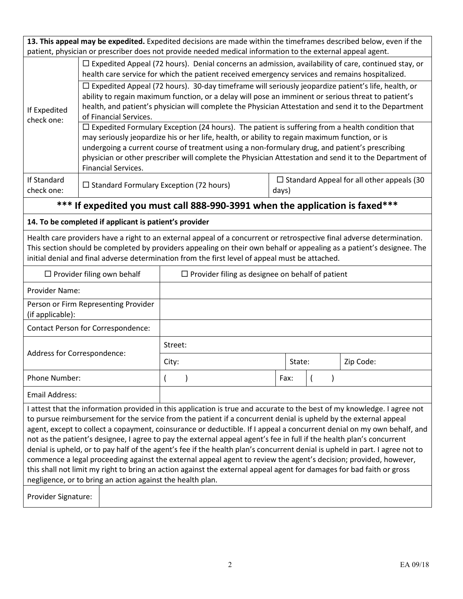**13. This appeal may be expedited.** Expedited decisions are made within the timeframes described below, even if the patient, physician or prescriber does not provide needed medical information to the external appeal agent.

|                           | $\Box$ Expedited Appeal (72 hours). Denial concerns an admission, availability of care, continued stay, or<br>health care service for which the patient received emergency services and remains hospitalized.                                                                                                                                                                                                                                      |                                                           |  |  |  |  |
|---------------------------|----------------------------------------------------------------------------------------------------------------------------------------------------------------------------------------------------------------------------------------------------------------------------------------------------------------------------------------------------------------------------------------------------------------------------------------------------|-----------------------------------------------------------|--|--|--|--|
|                           | $\Box$ Expedited Appeal (72 hours). 30-day timeframe will seriously jeopardize patient's life, health, or<br>ability to regain maximum function, or a delay will pose an imminent or serious threat to patient's                                                                                                                                                                                                                                   |                                                           |  |  |  |  |
| If Expedited              | health, and patient's physician will complete the Physician Attestation and send it to the Department                                                                                                                                                                                                                                                                                                                                              |                                                           |  |  |  |  |
| check one:                | of Financial Services.                                                                                                                                                                                                                                                                                                                                                                                                                             |                                                           |  |  |  |  |
|                           | $\Box$ Expedited Formulary Exception (24 hours). The patient is suffering from a health condition that<br>may seriously jeopardize his or her life, health, or ability to regain maximum function, or is<br>undergoing a current course of treatment using a non-formulary drug, and patient's prescribing<br>physician or other prescriber will complete the Physician Attestation and send it to the Department of<br><b>Financial Services.</b> |                                                           |  |  |  |  |
| If Standard<br>check one: | $\Box$ Standard Formulary Exception (72 hours)                                                                                                                                                                                                                                                                                                                                                                                                     | $\Box$ Standard Appeal for all other appeals (30<br>days) |  |  |  |  |

# **\*\*\* If expedited you must call 888-990-3991 when the application is faxed\*\*\***

### **14. To be completed if applicant is patient's provider**

Health care providers have a right to an external appeal of a concurrent or retrospective final adverse determination. This section should be completed by providers appealing on their own behalf or appealing as a patient's designee. The initial denial and final adverse determination from the first level of appeal must be attached.

| $\Box$ Provider filing own behalf                                                                                                                                                                                                                                                                                                                                                                                                                                                                                                                                                                                                                                                                                                                                                                                                                                                                                                          | $\Box$ Provider filing as designee on behalf of patient |      |        |           |  |
|--------------------------------------------------------------------------------------------------------------------------------------------------------------------------------------------------------------------------------------------------------------------------------------------------------------------------------------------------------------------------------------------------------------------------------------------------------------------------------------------------------------------------------------------------------------------------------------------------------------------------------------------------------------------------------------------------------------------------------------------------------------------------------------------------------------------------------------------------------------------------------------------------------------------------------------------|---------------------------------------------------------|------|--------|-----------|--|
|                                                                                                                                                                                                                                                                                                                                                                                                                                                                                                                                                                                                                                                                                                                                                                                                                                                                                                                                            |                                                         |      |        |           |  |
| Provider Name:                                                                                                                                                                                                                                                                                                                                                                                                                                                                                                                                                                                                                                                                                                                                                                                                                                                                                                                             |                                                         |      |        |           |  |
| Person or Firm Representing Provider<br>(if applicable):                                                                                                                                                                                                                                                                                                                                                                                                                                                                                                                                                                                                                                                                                                                                                                                                                                                                                   |                                                         |      |        |           |  |
| Contact Person for Correspondence:                                                                                                                                                                                                                                                                                                                                                                                                                                                                                                                                                                                                                                                                                                                                                                                                                                                                                                         |                                                         |      |        |           |  |
|                                                                                                                                                                                                                                                                                                                                                                                                                                                                                                                                                                                                                                                                                                                                                                                                                                                                                                                                            | Street:                                                 |      |        |           |  |
| Address for Correspondence:                                                                                                                                                                                                                                                                                                                                                                                                                                                                                                                                                                                                                                                                                                                                                                                                                                                                                                                | City:                                                   |      | State: | Zip Code: |  |
| Phone Number:                                                                                                                                                                                                                                                                                                                                                                                                                                                                                                                                                                                                                                                                                                                                                                                                                                                                                                                              |                                                         | Fax: |        |           |  |
| Email Address:                                                                                                                                                                                                                                                                                                                                                                                                                                                                                                                                                                                                                                                                                                                                                                                                                                                                                                                             |                                                         |      |        |           |  |
| I attest that the information provided in this application is true and accurate to the best of my knowledge. I agree not<br>to pursue reimbursement for the service from the patient if a concurrent denial is upheld by the external appeal<br>agent, except to collect a copayment, coinsurance or deductible. If I appeal a concurrent denial on my own behalf, and<br>not as the patient's designee, I agree to pay the external appeal agent's fee in full if the health plan's concurrent<br>denial is upheld, or to pay half of the agent's fee if the health plan's concurrent denial is upheld in part. I agree not to<br>commence a legal proceeding against the external appeal agent to review the agent's decision; provided, however,<br>this shall not limit my right to bring an action against the external appeal agent for damages for bad faith or gross<br>negligence, or to bring an action against the health plan. |                                                         |      |        |           |  |

Provider Signature: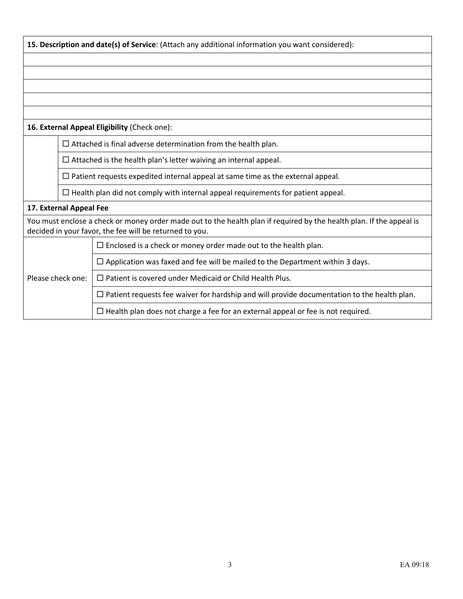|                                                                        | 15. Description and date(s) of Service: (Attach any additional information you want considered):                                                                                |                                                                                                    |  |  |  |  |
|------------------------------------------------------------------------|---------------------------------------------------------------------------------------------------------------------------------------------------------------------------------|----------------------------------------------------------------------------------------------------|--|--|--|--|
|                                                                        |                                                                                                                                                                                 |                                                                                                    |  |  |  |  |
|                                                                        |                                                                                                                                                                                 |                                                                                                    |  |  |  |  |
|                                                                        |                                                                                                                                                                                 |                                                                                                    |  |  |  |  |
|                                                                        |                                                                                                                                                                                 |                                                                                                    |  |  |  |  |
|                                                                        |                                                                                                                                                                                 |                                                                                                    |  |  |  |  |
| 16. External Appeal Eligibility (Check one):                           |                                                                                                                                                                                 |                                                                                                    |  |  |  |  |
|                                                                        | $\Box$ Attached is final adverse determination from the health plan.                                                                                                            |                                                                                                    |  |  |  |  |
|                                                                        |                                                                                                                                                                                 | $\Box$ Attached is the health plan's letter waiving an internal appeal.                            |  |  |  |  |
|                                                                        |                                                                                                                                                                                 | $\Box$ Patient requests expedited internal appeal at same time as the external appeal.             |  |  |  |  |
|                                                                        | $\Box$ Health plan did not comply with internal appeal requirements for patient appeal.                                                                                         |                                                                                                    |  |  |  |  |
|                                                                        | 17. External Appeal Fee                                                                                                                                                         |                                                                                                    |  |  |  |  |
|                                                                        | You must enclose a check or money order made out to the health plan if required by the health plan. If the appeal is<br>decided in your favor, the fee will be returned to you. |                                                                                                    |  |  |  |  |
| $\Box$ Enclosed is a check or money order made out to the health plan. |                                                                                                                                                                                 |                                                                                                    |  |  |  |  |
| Please check one:                                                      |                                                                                                                                                                                 | $\Box$ Application was faxed and fee will be mailed to the Department within 3 days.               |  |  |  |  |
|                                                                        |                                                                                                                                                                                 | $\Box$ Patient is covered under Medicaid or Child Health Plus.                                     |  |  |  |  |
|                                                                        |                                                                                                                                                                                 | $\Box$ Patient requests fee waiver for hardship and will provide documentation to the health plan. |  |  |  |  |
|                                                                        |                                                                                                                                                                                 | $\Box$ Health plan does not charge a fee for an external appeal or fee is not required.            |  |  |  |  |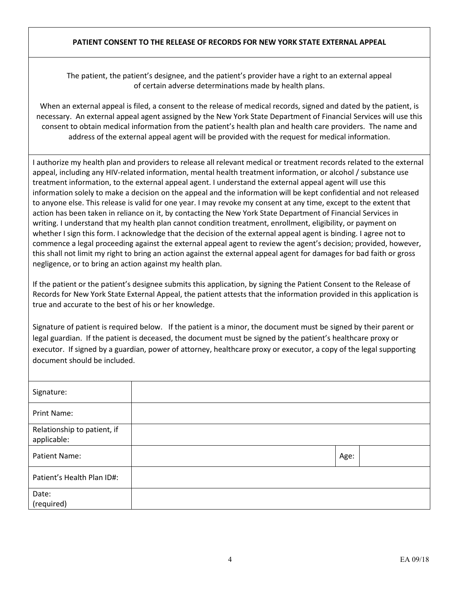### **PATIENT CONSENT TO THE RELEASE OF RECORDS FOR NEW YORK STATE EXTERNAL APPEAL**

The patient, the patient's designee, and the patient's provider have a right to an external appeal of certain adverse determinations made by health plans.

When an external appeal is filed, a consent to the release of medical records, signed and dated by the patient, is necessary. An external appeal agent assigned by the New York State Department of Financial Services will use this consent to obtain medical information from the patient's health plan and health care providers. The name and address of the external appeal agent will be provided with the request for medical information.

I authorize my health plan and providers to release all relevant medical or treatment records related to the external appeal, including any HIV-related information, mental health treatment information, or alcohol / substance use treatment information, to the external appeal agent. I understand the external appeal agent will use this information solely to make a decision on the appeal and the information will be kept confidential and not released to anyone else. This release is valid for one year. I may revoke my consent at any time, except to the extent that action has been taken in reliance on it, by contacting the New York State Department of Financial Services in writing. I understand that my health plan cannot condition treatment, enrollment, eligibility, or payment on whether I sign this form. I acknowledge that the decision of the external appeal agent is binding. I agree not to commence a legal proceeding against the external appeal agent to review the agent's decision; provided, however, this shall not limit my right to bring an action against the external appeal agent for damages for bad faith or gross negligence, or to bring an action against my health plan.

If the patient or the patient's designee submits this application, by signing the Patient Consent to the Release of Records for New York State External Appeal, the patient attests that the information provided in this application is true and accurate to the best of his or her knowledge.

Signature of patient is required below. If the patient is a minor, the document must be signed by their parent or legal guardian. If the patient is deceased, the document must be signed by the patient's healthcare proxy or executor. If signed by a guardian, power of attorney, healthcare proxy or executor, a copy of the legal supporting document should be included.

| Signature:                                 |      |  |
|--------------------------------------------|------|--|
| Print Name:                                |      |  |
| Relationship to patient, if<br>applicable: |      |  |
| <b>Patient Name:</b>                       | Age: |  |
| Patient's Health Plan ID#:                 |      |  |
| Date:<br>(required)                        |      |  |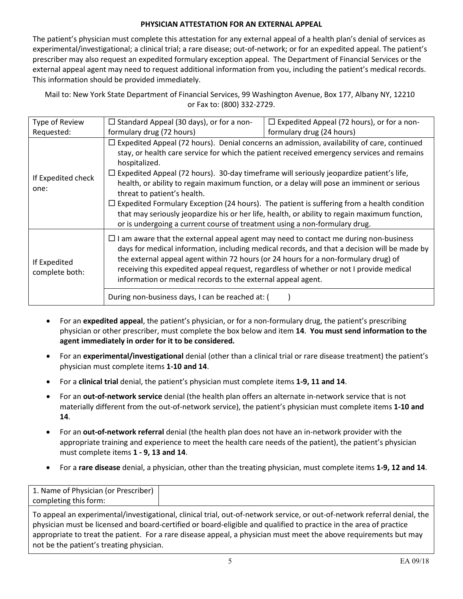## **PHYSICIAN ATTESTATION FOR AN EXTERNAL APPEAL**

The patient's physician must complete this attestation for any external appeal of a health plan's denial of services as experimental/investigational; a clinical trial; a rare disease; out-of-network; or for an expedited appeal. The patient's prescriber may also request an expedited formulary exception appeal. The Department of Financial Services or the external appeal agent may need to request additional information from you, including the patient's medical records. This information should be provided immediately.

Mail to: New York State Department of Financial Services, 99 Washington Avenue, Box 177, Albany NY, 12210 or Fax to: (800) 332-2729.

| Type of Review                 | $\Box$ Standard Appeal (30 days), or for a non-                                                                                                                                                                                                                                                                                                                                                                                                                                                                                                                                                                                                                                                                                     | $\Box$ Expedited Appeal (72 hours), or for a non- |  |  |
|--------------------------------|-------------------------------------------------------------------------------------------------------------------------------------------------------------------------------------------------------------------------------------------------------------------------------------------------------------------------------------------------------------------------------------------------------------------------------------------------------------------------------------------------------------------------------------------------------------------------------------------------------------------------------------------------------------------------------------------------------------------------------------|---------------------------------------------------|--|--|
| Requested:                     | formulary drug (72 hours)                                                                                                                                                                                                                                                                                                                                                                                                                                                                                                                                                                                                                                                                                                           | formulary drug (24 hours)                         |  |  |
| If Expedited check<br>one:     | $\Box$ Expedited Appeal (72 hours). Denial concerns an admission, availability of care, continued<br>stay, or health care service for which the patient received emergency services and remains<br>hospitalized.<br>$\Box$ Expedited Appeal (72 hours). 30-day timeframe will seriously jeopardize patient's life,<br>health, or ability to regain maximum function, or a delay will pose an imminent or serious<br>threat to patient's health.<br>$\Box$ Expedited Formulary Exception (24 hours). The patient is suffering from a health condition<br>that may seriously jeopardize his or her life, health, or ability to regain maximum function,<br>or is undergoing a current course of treatment using a non-formulary drug. |                                                   |  |  |
| If Expedited<br>complete both: | $\Box$ I am aware that the external appeal agent may need to contact me during non-business<br>days for medical information, including medical records, and that a decision will be made by<br>the external appeal agent within 72 hours (or 24 hours for a non-formulary drug) of<br>receiving this expedited appeal request, regardless of whether or not I provide medical<br>information or medical records to the external appeal agent.<br>During non-business days, I can be reached at: (                                                                                                                                                                                                                                   |                                                   |  |  |

- For an **expedited appeal**, the patient's physician, or for a non-formulary drug, the patient's prescribing physician or other prescriber, must complete the box below and item **14**. **You must send information to the agent immediately in order for it to be considered.**
- For an **experimental/investigational** denial (other than a clinical trial or rare disease treatment) the patient's physician must complete items **1-10 and 14**.
- For a **clinical trial** denial, the patient's physician must complete items **1-9, 11 and 14**.
- For an **out-of-network service** denial (the health plan offers an alternate in-network service that is not materially different from the out-of-network service), the patient's physician must complete items **1-10 and 14**.
- For an **out-of-network referral** denial (the health plan does not have an in-network provider with the appropriate training and experience to meet the health care needs of the patient), the patient's physician must complete items **1 - 9, 13 and 14**.
- For a **rare disease** denial, a physician, other than the treating physician, must complete items **1-9, 12 and 14**.

To appeal an experimental/investigational, clinical trial, out-of-network service, or out-of-network referral denial, the physician must be licensed and board-certified or board-eligible and qualified to practice in the area of practice appropriate to treat the patient. For a rare disease appeal, a physician must meet the above requirements but may not be the patient's treating physician.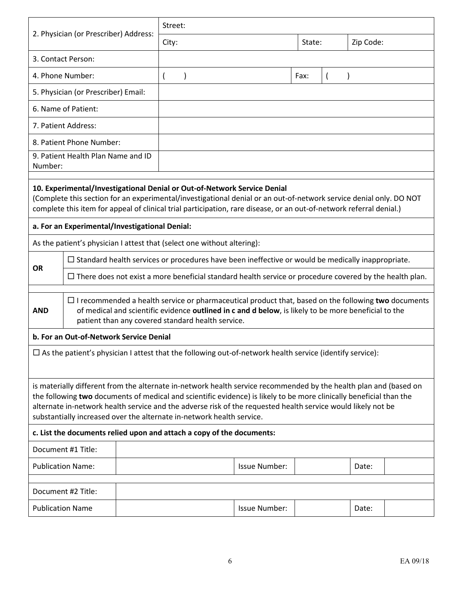|                                                                                                                 |                                                                                                                                                                                                                                                                                                                                                                                                                                   |  | Street:        |                                                                         |                      |        |  |           |  |
|-----------------------------------------------------------------------------------------------------------------|-----------------------------------------------------------------------------------------------------------------------------------------------------------------------------------------------------------------------------------------------------------------------------------------------------------------------------------------------------------------------------------------------------------------------------------|--|----------------|-------------------------------------------------------------------------|----------------------|--------|--|-----------|--|
| 2. Physician (or Prescriber) Address:                                                                           |                                                                                                                                                                                                                                                                                                                                                                                                                                   |  | City:          |                                                                         |                      | State: |  | Zip Code: |  |
|                                                                                                                 | 3. Contact Person:                                                                                                                                                                                                                                                                                                                                                                                                                |  |                |                                                                         |                      |        |  |           |  |
|                                                                                                                 | 4. Phone Number:                                                                                                                                                                                                                                                                                                                                                                                                                  |  | $\overline{ }$ | $\mathcal{E}$                                                           |                      | Fax:   |  |           |  |
|                                                                                                                 | 5. Physician (or Prescriber) Email:                                                                                                                                                                                                                                                                                                                                                                                               |  |                |                                                                         |                      |        |  |           |  |
| 6. Name of Patient:                                                                                             |                                                                                                                                                                                                                                                                                                                                                                                                                                   |  |                |                                                                         |                      |        |  |           |  |
|                                                                                                                 | 7. Patient Address:                                                                                                                                                                                                                                                                                                                                                                                                               |  |                |                                                                         |                      |        |  |           |  |
|                                                                                                                 | 8. Patient Phone Number:                                                                                                                                                                                                                                                                                                                                                                                                          |  |                |                                                                         |                      |        |  |           |  |
| Number:                                                                                                         | 9. Patient Health Plan Name and ID                                                                                                                                                                                                                                                                                                                                                                                                |  |                |                                                                         |                      |        |  |           |  |
|                                                                                                                 | 10. Experimental/Investigational Denial or Out-of-Network Service Denial<br>(Complete this section for an experimental/investigational denial or an out-of-network service denial only. DO NOT<br>complete this item for appeal of clinical trial participation, rare disease, or an out-of-network referral denial.)                                                                                                             |  |                |                                                                         |                      |        |  |           |  |
|                                                                                                                 | a. For an Experimental/Investigational Denial:                                                                                                                                                                                                                                                                                                                                                                                    |  |                |                                                                         |                      |        |  |           |  |
|                                                                                                                 |                                                                                                                                                                                                                                                                                                                                                                                                                                   |  |                | As the patient's physician I attest that (select one without altering): |                      |        |  |           |  |
| <b>OR</b>                                                                                                       | $\Box$ Standard health services or procedures have been ineffective or would be medically inappropriate.                                                                                                                                                                                                                                                                                                                          |  |                |                                                                         |                      |        |  |           |  |
|                                                                                                                 | $\Box$ There does not exist a more beneficial standard health service or procedure covered by the health plan.                                                                                                                                                                                                                                                                                                                    |  |                |                                                                         |                      |        |  |           |  |
| <b>AND</b>                                                                                                      | $\Box$ I recommended a health service or pharmaceutical product that, based on the following two documents<br>of medical and scientific evidence outlined in c and d below, is likely to be more beneficial to the<br>patient than any covered standard health service.                                                                                                                                                           |  |                |                                                                         |                      |        |  |           |  |
|                                                                                                                 | b. For an Out-of-Network Service Denial                                                                                                                                                                                                                                                                                                                                                                                           |  |                |                                                                         |                      |        |  |           |  |
| $\Box$ As the patient's physician I attest that the following out-of-network health service (identify service): |                                                                                                                                                                                                                                                                                                                                                                                                                                   |  |                |                                                                         |                      |        |  |           |  |
|                                                                                                                 | is materially different from the alternate in-network health service recommended by the health plan and (based on<br>the following two documents of medical and scientific evidence) is likely to be more clinically beneficial than the<br>alternate in-network health service and the adverse risk of the requested health service would likely not be<br>substantially increased over the alternate in-network health service. |  |                |                                                                         |                      |        |  |           |  |
|                                                                                                                 |                                                                                                                                                                                                                                                                                                                                                                                                                                   |  |                | c. List the documents relied upon and attach a copy of the documents:   |                      |        |  |           |  |
|                                                                                                                 | Document #1 Title:                                                                                                                                                                                                                                                                                                                                                                                                                |  |                |                                                                         |                      |        |  |           |  |
|                                                                                                                 | <b>Publication Name:</b>                                                                                                                                                                                                                                                                                                                                                                                                          |  |                |                                                                         | <b>Issue Number:</b> |        |  | Date:     |  |
|                                                                                                                 |                                                                                                                                                                                                                                                                                                                                                                                                                                   |  |                |                                                                         |                      |        |  |           |  |
|                                                                                                                 | Document #2 Title:                                                                                                                                                                                                                                                                                                                                                                                                                |  |                |                                                                         |                      |        |  |           |  |
| <b>Publication Name</b>                                                                                         |                                                                                                                                                                                                                                                                                                                                                                                                                                   |  |                |                                                                         | Issue Number:        |        |  | Date:     |  |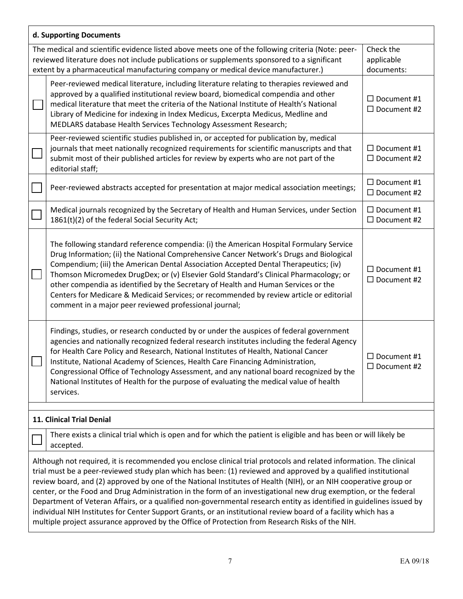| d. Supporting Documents                                                                                                                                                                                                                                                                                                                                                                                                                                                                                                                                                                                                                                                                                                                                                                                                      |                                                                                                                                                                                                                                                                                                                                                                                                                                                                                                                                                                                                                |                                             |  |  |  |
|------------------------------------------------------------------------------------------------------------------------------------------------------------------------------------------------------------------------------------------------------------------------------------------------------------------------------------------------------------------------------------------------------------------------------------------------------------------------------------------------------------------------------------------------------------------------------------------------------------------------------------------------------------------------------------------------------------------------------------------------------------------------------------------------------------------------------|----------------------------------------------------------------------------------------------------------------------------------------------------------------------------------------------------------------------------------------------------------------------------------------------------------------------------------------------------------------------------------------------------------------------------------------------------------------------------------------------------------------------------------------------------------------------------------------------------------------|---------------------------------------------|--|--|--|
|                                                                                                                                                                                                                                                                                                                                                                                                                                                                                                                                                                                                                                                                                                                                                                                                                              | The medical and scientific evidence listed above meets one of the following criteria (Note: peer-<br>Check the<br>reviewed literature does not include publications or supplements sponsored to a significant<br>applicable<br>extent by a pharmaceutical manufacturing company or medical device manufacturer.)<br>documents:                                                                                                                                                                                                                                                                                 |                                             |  |  |  |
|                                                                                                                                                                                                                                                                                                                                                                                                                                                                                                                                                                                                                                                                                                                                                                                                                              | Peer-reviewed medical literature, including literature relating to therapies reviewed and<br>approved by a qualified institutional review board, biomedical compendia and other<br>medical literature that meet the criteria of the National Institute of Health's National<br>Library of Medicine for indexing in Index Medicus, Excerpta Medicus, Medline and<br>MEDLARS database Health Services Technology Assessment Research;                                                                                                                                                                            | $\Box$ Document #1<br>$\Box$ Document #2    |  |  |  |
|                                                                                                                                                                                                                                                                                                                                                                                                                                                                                                                                                                                                                                                                                                                                                                                                                              | Peer-reviewed scientific studies published in, or accepted for publication by, medical<br>journals that meet nationally recognized requirements for scientific manuscripts and that<br>submit most of their published articles for review by experts who are not part of the<br>editorial staff;                                                                                                                                                                                                                                                                                                               | $\Box$ Document #1<br>$\Box$ Document #2    |  |  |  |
|                                                                                                                                                                                                                                                                                                                                                                                                                                                                                                                                                                                                                                                                                                                                                                                                                              | Peer-reviewed abstracts accepted for presentation at major medical association meetings;                                                                                                                                                                                                                                                                                                                                                                                                                                                                                                                       | $\Box$ Document #1<br>$\Box$ Document #2    |  |  |  |
|                                                                                                                                                                                                                                                                                                                                                                                                                                                                                                                                                                                                                                                                                                                                                                                                                              | Medical journals recognized by the Secretary of Health and Human Services, under Section<br>1861(t)(2) of the federal Social Security Act;                                                                                                                                                                                                                                                                                                                                                                                                                                                                     | $\Box$ Document #1<br>$\Box$ Document #2    |  |  |  |
|                                                                                                                                                                                                                                                                                                                                                                                                                                                                                                                                                                                                                                                                                                                                                                                                                              | The following standard reference compendia: (i) the American Hospital Formulary Service<br>Drug Information; (ii) the National Comprehensive Cancer Network's Drugs and Biological<br>Compendium; (iii) the American Dental Association Accepted Dental Therapeutics; (iv)<br>Thomson Micromedex DrugDex; or (v) Elsevier Gold Standard's Clinical Pharmacology; or<br>other compendia as identified by the Secretary of Health and Human Services or the<br>Centers for Medicare & Medicaid Services; or recommended by review article or editorial<br>comment in a major peer reviewed professional journal; | $\Box$ Document #1<br>$\Box$ Document #2    |  |  |  |
|                                                                                                                                                                                                                                                                                                                                                                                                                                                                                                                                                                                                                                                                                                                                                                                                                              | Findings, studies, or research conducted by or under the auspices of federal government<br>agencies and nationally recognized federal research institutes including the federal Agency<br>for Health Care Policy and Research, National Institutes of Health, National Cancer<br>Institute, National Academy of Sciences, Health Care Financing Administration,<br>Congressional Office of Technology Assessment, and any national board recognized by the<br>National Institutes of Health for the purpose of evaluating the medical value of health<br>services.                                             | $\Box$ Document #1<br>$\square$ Document #2 |  |  |  |
| 11. Clinical Trial Denial                                                                                                                                                                                                                                                                                                                                                                                                                                                                                                                                                                                                                                                                                                                                                                                                    |                                                                                                                                                                                                                                                                                                                                                                                                                                                                                                                                                                                                                |                                             |  |  |  |
| There exists a clinical trial which is open and for which the patient is eligible and has been or will likely be<br>accepted.                                                                                                                                                                                                                                                                                                                                                                                                                                                                                                                                                                                                                                                                                                |                                                                                                                                                                                                                                                                                                                                                                                                                                                                                                                                                                                                                |                                             |  |  |  |
| Although not required, it is recommended you enclose clinical trial protocols and related information. The clinical<br>trial must be a peer-reviewed study plan which has been: (1) reviewed and approved by a qualified institutional<br>review board, and (2) approved by one of the National Institutes of Health (NIH), or an NIH cooperative group or<br>center, or the Food and Drug Administration in the form of an investigational new drug exemption, or the federal<br>Department of Veteran Affairs, or a qualified non-governmental research entity as identified in guidelines issued by<br>individual NIH Institutes for Center Support Grants, or an institutional review board of a facility which has a<br>multiple project assurance approved by the Office of Protection from Research Risks of the NIH. |                                                                                                                                                                                                                                                                                                                                                                                                                                                                                                                                                                                                                |                                             |  |  |  |